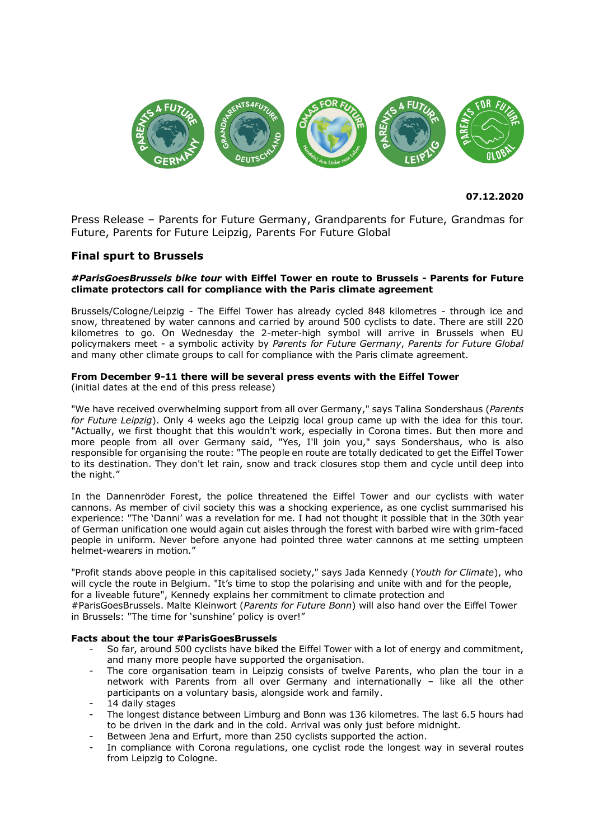

**07.12.2020**

Press Release – Parents for Future Germany, Grandparents for Future, Grandmas for Future, Parents for Future Leipzig, Parents For Future Global

# **Final spurt to Brussels**

# *#ParisGoesBrussels bike tour* **with Eiffel Tower en route to Brussels - Parents for Future climate protectors call for compliance with the Paris climate agreement**

Brussels/Cologne/Leipzig - The Eiffel Tower has already cycled 848 kilometres - through ice and snow, threatened by water cannons and carried by around 500 cyclists to date. There are still 220 kilometres to go. On Wednesday the 2-meter-high symbol will arrive in Brussels when EU policymakers meet - a symbolic activity by *Parents for Future Germany*, *Parents for Future Global* and many other climate groups to call for compliance with the Paris climate agreement.

# **From December 9-11 there will be several press events with the Eiffel Tower**

(initial dates at the end of this press release)

"We have received overwhelming support from all over Germany," says Talina Sondershaus (*Parents for Future Leipzig*). Only 4 weeks ago the Leipzig local group came up with the idea for this tour. "Actually, we first thought that this wouldn't work, especially in Corona times. But then more and more people from all over Germany said, "Yes, I'll join you," says Sondershaus, who is also responsible for organising the route: "The people en route are totally dedicated to get the Eiffel Tower to its destination. They don't let rain, snow and track closures stop them and cycle until deep into the night."

In the Dannenröder Forest, the police threatened the Eiffel Tower and our cyclists with water cannons. As member of civil society this was a shocking experience, as one cyclist summarised his experience: "The 'Danni' was a revelation for me. I had not thought it possible that in the 30th year of German unification one would again cut aisles through the forest with barbed wire with grim-faced people in uniform. Never before anyone had pointed three water cannons at me setting umpteen helmet-wearers in motion."

"Profit stands above people in this capitalised society," says Jada Kennedy (*Youth for Climate*), who will cycle the route in Belgium. "It's time to stop the polarising and unite with and for the people, for a liveable future", Kennedy explains her commitment to climate protection and

#ParisGoesBrussels. Malte Kleinwort (*Parents for Future Bonn*) will also hand over the Eiffel Tower in Brussels: "The time for 'sunshine' policy is over!"

# **Facts about the tour #ParisGoesBrussels**

- So far, around 500 cyclists have biked the Eiffel Tower with a lot of energy and commitment, and many more people have supported the organisation.
- The core organisation team in Leipzig consists of twelve Parents, who plan the tour in a network with Parents from all over Germany and internationally – like all the other participants on a voluntary basis, alongside work and family.
- 14 daily stages
- The longest distance between Limburg and Bonn was 136 kilometres. The last 6.5 hours had to be driven in the dark and in the cold. Arrival was only just before midnight.
- Between Jena and Erfurt, more than 250 cyclists supported the action.
- In compliance with Corona regulations, one cyclist rode the longest way in several routes from Leipzig to Cologne.